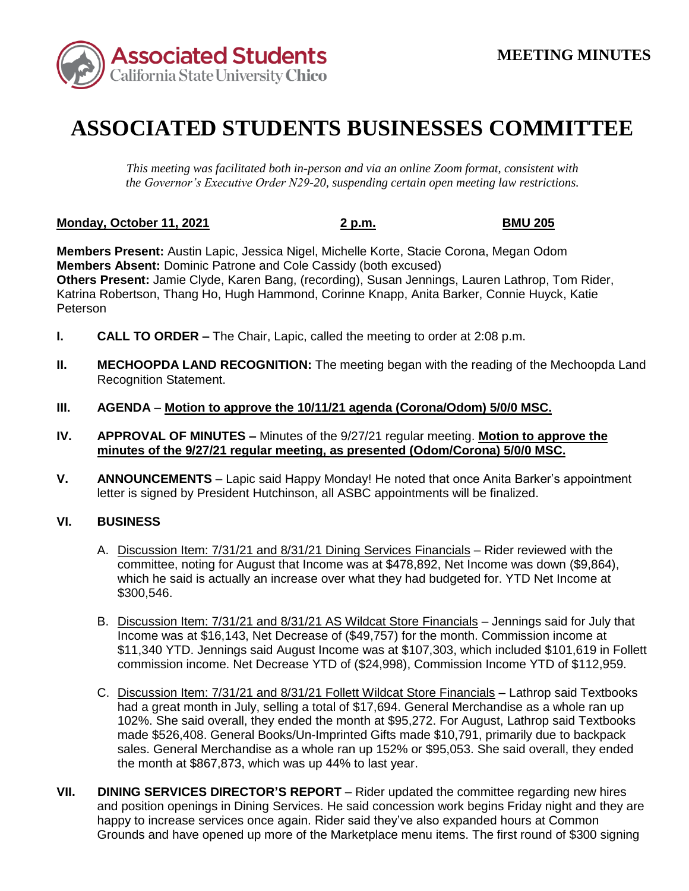

## **ASSOCIATED STUDENTS BUSINESSES COMMITTEE**

*This meeting was facilitated both in-person and via an online Zoom format, consistent with the Governor's Executive Order N29-20, suspending certain open meeting law restrictions.* 

## **Monday, October 11, 2021** 2 p.m. 2 p.m. BMU 205

 **Members Present:** Austin Lapic, Jessica Nigel, Michelle Korte, Stacie Corona, Megan Odom Katrina Robertson, Thang Ho, Hugh Hammond, Corinne Knapp, Anita Barker, Connie Huyck, Katie **Members Absent:** Dominic Patrone and Cole Cassidy (both excused) **Others Present:** Jamie Clyde, Karen Bang, (recording), Susan Jennings, Lauren Lathrop, Tom Rider, Peterson

- **I.** CALL TO ORDER The Chair, Lapic, called the meeting to order at 2:08 p.m.
- **II. MECHOOPDA LAND RECOGNITION:** The meeting began with the reading of the Mechoopda Land Recognition Statement.
- **III. AGENDA Motion to approve the 10/11/21 agenda (Corona/Odom) 5/0/0 MSC.**
- **IV. APPROVAL OF MINUTES –** Minutes of the 9/27/21 regular meeting. **Motion to approve the minutes of the 9/27/21 regular meeting, as presented (Odom/Corona) 5/0/0 MSC.**
- **V. ANNOUNCEMENTS**  Lapic said Happy Monday! He noted that once Anita Barker's appointment letter is signed by President Hutchinson, all ASBC appointments will be finalized.

## **VI. BUSINESS**

- A. Discussion Item: 7/31/21 and 8/31/21 Dining Services Financials Rider reviewed with the committee, noting for August that Income was at \$478,892, Net Income was down (\$9,864), which he said is actually an increase over what they had budgeted for. YTD Net Income at \$300,546.
- B. Discussion Item: 7/31/21 and 8/31/21 AS Wildcat Store Financials Jennings said for July that Income was at \$16,143, Net Decrease of (\$49,757) for the month. Commission income at \$11,340 YTD. Jennings said August Income was at \$107,303, which included \$101,619 in Follett commission income. Net Decrease YTD of (\$24,998), Commission Income YTD of \$112,959.
- C. Discussion Item: 7/31/21 and 8/31/21 Follett Wildcat Store Financials Lathrop said Textbooks had a great month in July, selling a total of \$17,694. General Merchandise as a whole ran up 102%. She said overall, they ended the month at \$95,272. For August, Lathrop said Textbooks made \$526,408. General Books/Un-Imprinted Gifts made \$10,791, primarily due to backpack sales. General Merchandise as a whole ran up 152% or \$95,053. She said overall, they ended the month at \$867,873, which was up 44% to last year.
- and position openings in Dining Services. He said concession work begins Friday night and they are happy to increase services once again. Rider said they've also expanded hours at Common Grounds and have opened up more of the Marketplace menu items. The first round of \$300 signing **VII.** DINING SERVICES DIRECTOR'S REPORT – Rider updated the committee regarding new hires